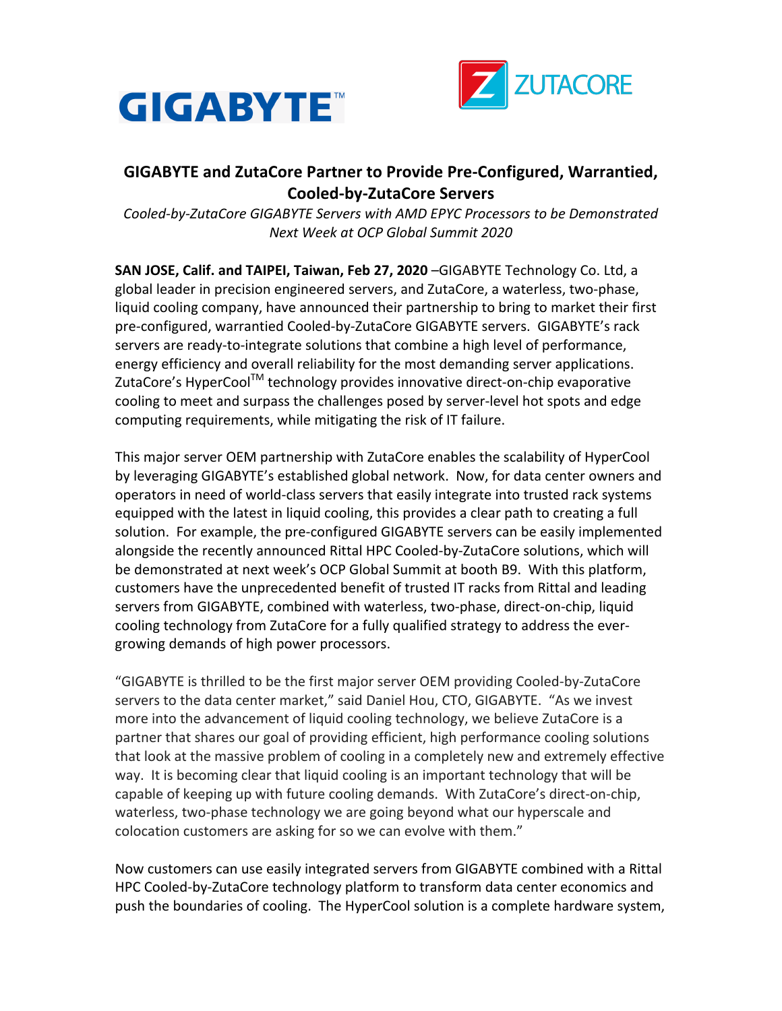



## **GIGABYTE and ZutaCore Partner to Provide Pre-Configured, Warrantied, Cooled-by-ZutaCore Servers**

*Cooled-by-ZutaCore GIGABYTE Servers with AMD EPYC Processors to be Demonstrated Next Week at OCP Global Summit 2020*

**SAN JOSE, Calif. and TAIPEI, Taiwan, Feb 27, 2020** –GIGABYTE Technology Co. Ltd, a global leader in precision engineered servers, and ZutaCore, a waterless, two-phase, liquid cooling company, have announced their partnership to bring to market their first pre-configured, warrantied Cooled-by-ZutaCore GIGABYTE servers. GIGABYTE's rack servers are ready-to-integrate solutions that combine a high level of performance, energy efficiency and overall reliability for the most demanding server applications. ZutaCore's HyperCool™ technology provides innovative direct-on-chip evaporative cooling to meet and surpass the challenges posed by server-level hot spots and edge computing requirements, while mitigating the risk of IT failure.

This major server OEM partnership with ZutaCore enables the scalability of HyperCool by leveraging GIGABYTE's established global network. Now, for data center owners and operators in need of world-class servers that easily integrate into trusted rack systems equipped with the latest in liquid cooling, this provides a clear path to creating a full solution. For example, the pre-configured GIGABYTE servers can be easily implemented alongside the recently announced Rittal HPC Cooled-by-ZutaCore solutions, which will be demonstrated at next week's OCP Global Summit at booth B9. With this platform, customers have the unprecedented benefit of trusted IT racks from Rittal and leading servers from GIGABYTE, combined with waterless, two-phase, direct-on-chip, liquid cooling technology from ZutaCore for a fully qualified strategy to address the evergrowing demands of high power processors.

"GIGABYTE is thrilled to be the first major server OEM providing Cooled-by-ZutaCore servers to the data center market," said Daniel Hou, CTO, GIGABYTE. "As we invest more into the advancement of liquid cooling technology, we believe ZutaCore is a partner that shares our goal of providing efficient, high performance cooling solutions that look at the massive problem of cooling in a completely new and extremely effective way. It is becoming clear that liquid cooling is an important technology that will be capable of keeping up with future cooling demands. With ZutaCore's direct-on-chip, waterless, two-phase technology we are going beyond what our hyperscale and colocation customers are asking for so we can evolve with them."

Now customers can use easily integrated servers from GIGABYTE combined with a Rittal HPC Cooled-by-ZutaCore technology platform to transform data center economics and push the boundaries of cooling. The HyperCool solution is a complete hardware system,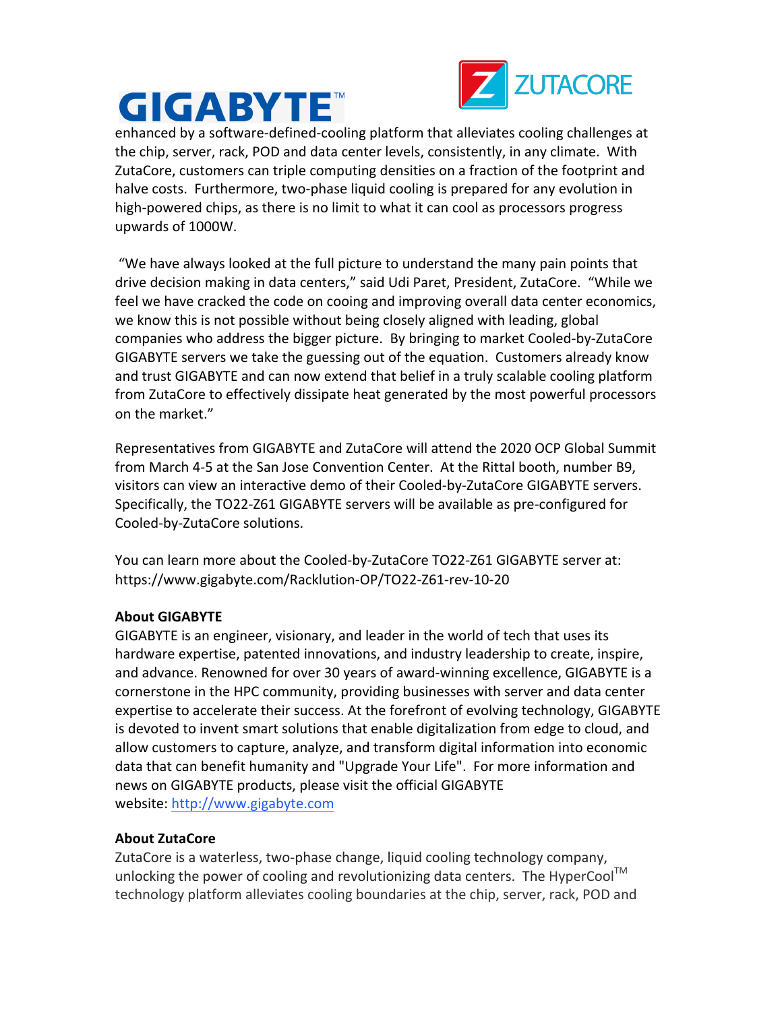



enhanced by a software-defined-cooling platform that alleviates cooling challenges at the chip, server, rack, POD and data center levels, consistently, in any climate. With ZutaCore, customers can triple computing densities on a fraction of the footprint and halve costs. Furthermore, two-phase liquid cooling is prepared for any evolution in high-powered chips, as there is no limit to what it can cool as processors progress upwards of 1000W. 

"We have always looked at the full picture to understand the many pain points that drive decision making in data centers," said Udi Paret, President, ZutaCore. "While we feel we have cracked the code on cooing and improving overall data center economics, we know this is not possible without being closely aligned with leading, global companies who address the bigger picture. By bringing to market Cooled-by-ZutaCore GIGABYTE servers we take the guessing out of the equation. Customers already know and trust GIGABYTE and can now extend that belief in a truly scalable cooling platform from ZutaCore to effectively dissipate heat generated by the most powerful processors on the market."

Representatives from GIGABYTE and ZutaCore will attend the 2020 OCP Global Summit from March 4-5 at the San Jose Convention Center. At the Rittal booth, number B9, visitors can view an interactive demo of their Cooled-by-ZutaCore GIGABYTE servers. Specifically, the TO22-Z61 GIGABYTE servers will be available as pre-configured for Cooled-by-ZutaCore solutions.

You can learn more about the Cooled-by-ZutaCore TO22-Z61 GIGABYTE server at: https://www.gigabyte.com/Racklution-OP/TO22-Z61-rev-10-20

## **About GIGABYTE**

GIGABYTE is an engineer, visionary, and leader in the world of tech that uses its hardware expertise, patented innovations, and industry leadership to create, inspire, and advance. Renowned for over 30 years of award-winning excellence, GIGABYTE is a cornerstone in the HPC community, providing businesses with server and data center expertise to accelerate their success. At the forefront of evolving technology, GIGABYTE is devoted to invent smart solutions that enable digitalization from edge to cloud, and allow customers to capture, analyze, and transform digital information into economic data that can benefit humanity and "Upgrade Your Life". For more information and news on GIGABYTE products, please visit the official GIGABYTE website: http://www.gigabyte.com

## **About ZutaCore**

ZutaCore is a waterless, two-phase change, liquid cooling technology company, unlocking the power of cooling and revolutionizing data centers. The HyperCool<sup>TM</sup> technology platform alleviates cooling boundaries at the chip, server, rack, POD and